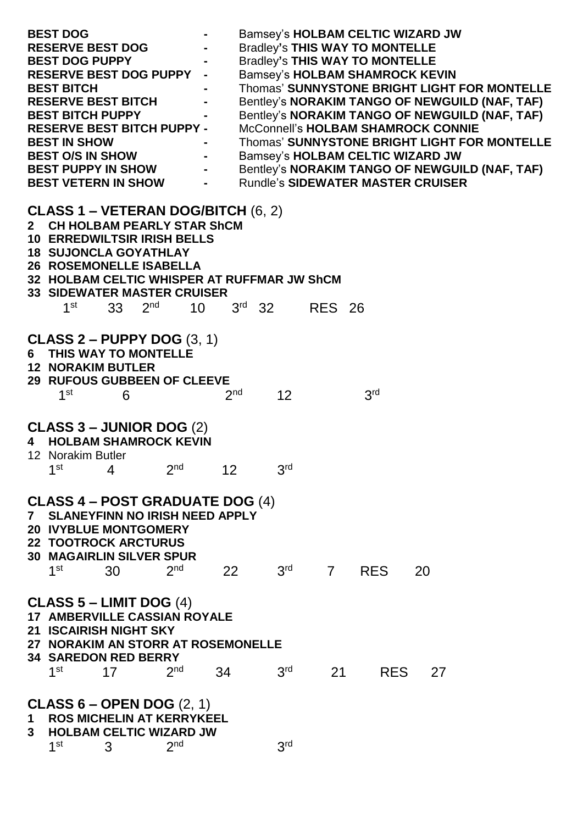| <b>BEST DOG</b><br><b>RESERVE BEST DOG</b><br><b>BEST DOG PUPPY</b><br><b>RESERVE BEST DOG PUPPY -</b><br><b>BEST BITCH</b><br><b>RESERVE BEST BITCH</b><br><b>BEST BITCH PUPPY</b><br><b>RESERVE BEST BITCH PUPPY -</b><br><b>BEST IN SHOW</b><br><b>BEST O/S IN SHOW</b><br><b>BEST PUPPY IN SHOW</b><br><b>BEST VETERN IN SHOW</b> |                                                                                                                                                                                                                                            |             | $\blacksquare$<br>$\blacksquare$ | Bamsey's HOLBAM CELTIC WIZARD JW<br><b>Bradley's THIS WAY TO MONTELLE</b><br><b>Bradley's THIS WAY TO MONTELLE</b><br><b>Bamsey's HOLBAM SHAMROCK KEVIN</b><br>Thomas' SUNNYSTONE BRIGHT LIGHT FOR MONTELLE<br>Bentley's NORAKIM TANGO OF NEWGUILD (NAF, TAF)<br>Bentley's NORAKIM TANGO OF NEWGUILD (NAF, TAF)<br>McConnell's HOLBAM SHAMROCK CONNIE<br>Thomas' SUNNYSTONE BRIGHT LIGHT FOR MONTELLE<br>Bamsey's HOLBAM CELTIC WIZARD JW<br>Bentley's NORAKIM TANGO OF NEWGUILD (NAF, TAF)<br><b>Rundle's SIDEWATER MASTER CRUISER</b> |                 |                                                         |               |                 |    |  |  |
|---------------------------------------------------------------------------------------------------------------------------------------------------------------------------------------------------------------------------------------------------------------------------------------------------------------------------------------|--------------------------------------------------------------------------------------------------------------------------------------------------------------------------------------------------------------------------------------------|-------------|----------------------------------|-----------------------------------------------------------------------------------------------------------------------------------------------------------------------------------------------------------------------------------------------------------------------------------------------------------------------------------------------------------------------------------------------------------------------------------------------------------------------------------------------------------------------------------------|-----------------|---------------------------------------------------------|---------------|-----------------|----|--|--|
| $2^{\circ}$                                                                                                                                                                                                                                                                                                                           | CLASS 1 – VETERAN DOG/BITCH $(6, 2)$<br><b>CH HOLBAM PEARLY STAR ShCM</b><br><b>10 ERREDWILTSIR IRISH BELLS</b><br><b>18 SUJONCLA GOYATHLAY</b><br><b>26 ROSEMONELLE ISABELLA</b><br><b>33 SIDEWATER MASTER CRUISER</b><br>1 <sup>st</sup> | 33 $2^{nd}$ |                                  | 10                                                                                                                                                                                                                                                                                                                                                                                                                                                                                                                                      |                 | 32 HOLBAM CELTIC WHISPER AT RUFFMAR JW ShCM<br>$3rd$ 32 | <b>RES 26</b> |                 |    |  |  |
|                                                                                                                                                                                                                                                                                                                                       | CLASS 2 – PUPPY DOG $(3, 1)$<br>6 THIS WAY TO MONTELLE<br><b>12 NORAKIM BUTLER</b><br>29 RUFOUS GUBBEEN OF CLEEVE<br>1 <sup>st</sup>                                                                                                       | 6           |                                  |                                                                                                                                                                                                                                                                                                                                                                                                                                                                                                                                         | 2 <sub>nd</sub> | 12                                                      |               | 3 <sup>rd</sup> |    |  |  |
| 4                                                                                                                                                                                                                                                                                                                                     | <b>CLASS 3 – JUNIOR DOG (2)</b><br><b>HOLBAM SHAMROCK KEVIN</b><br>12 Norakim Butler<br>1 <sup>st</sup>                                                                                                                                    | 4           | $2nd$ 12                         |                                                                                                                                                                                                                                                                                                                                                                                                                                                                                                                                         |                 | 3 <sup>rd</sup>                                         |               |                 |    |  |  |
| $\mathbf{7}$                                                                                                                                                                                                                                                                                                                          | <b>CLASS 4 – POST GRADUATE DOG (4)</b><br><b>SLANEYFINN NO IRISH NEED APPLY</b><br><b>20 IVYBLUE MONTGOMERY</b><br><b>22 TOOTROCK ARCTURUS</b><br><b>30 MAGAIRLIN SILVER SPUR</b><br>1 <sup>st</sup>                                       | 30          | 2 <sub>nd</sub>                  | 22                                                                                                                                                                                                                                                                                                                                                                                                                                                                                                                                      |                 | 3 <sup>rd</sup>                                         |               | 7 RES           | 20 |  |  |
|                                                                                                                                                                                                                                                                                                                                       | CLASS $5$ – LIMIT DOG $(4)$<br><b>17 AMBERVILLE CASSIAN ROYALE</b><br>21 ISCAIRISH NIGHT SKY<br>27 NORAKIM AN STORR AT ROSEMONELLE<br><b>34 SAREDON RED BERRY</b><br>1 <sup>st</sup>                                                       | 17          | 2 <sub>nd</sub>                  | 34                                                                                                                                                                                                                                                                                                                                                                                                                                                                                                                                      |                 | 3 <sup>rd</sup>                                         | 21            | <b>RES</b>      | 27 |  |  |
| $1 \quad$<br>3 <sup>1</sup>                                                                                                                                                                                                                                                                                                           | <b>CLASS 6 – OPEN DOG</b> $(2, 1)$<br><b>ROS MICHELIN AT KERRYKEEL</b><br><b>HOLBAM CELTIC WIZARD JW</b><br>1 <sup>st</sup>                                                                                                                | 3           | 2 <sub>nd</sub>                  |                                                                                                                                                                                                                                                                                                                                                                                                                                                                                                                                         |                 | 3 <sup>rd</sup>                                         |               |                 |    |  |  |